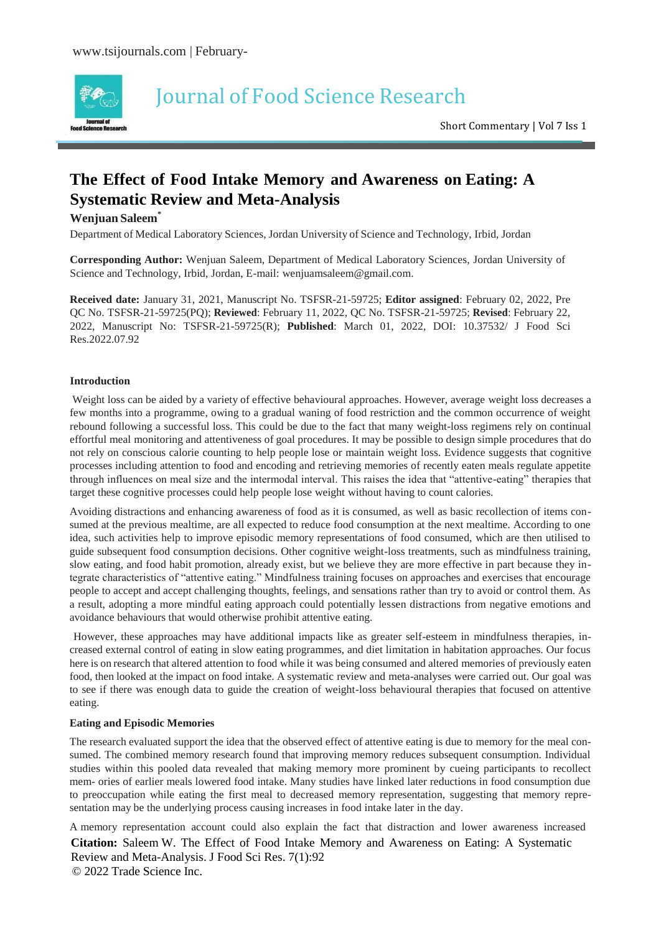

# Journal of Food Science Research

Short Commentary | Vol 7 Iss 1

## **The Effect of Food Intake Memory and Awareness on Eating: A Systematic Review and Meta-Analysis**

#### **Wenjuan Saleem\***

Department of Medical Laboratory Sciences, Jordan University of Science and Technology, Irbid, Jordan

**Corresponding Author:** Wenjuan Saleem, Department of Medical Laboratory Sciences, Jordan University of Science and Technology, Irbid, Jordan, E-mail: [wenjuamsaleem@gmail.com.](mailto:wenjuamsaleem@gmail.com)

**Received date:** January 31, 2021, Manuscript No. TSFSR-21-59725; **Editor assigned**: February 02, 2022, Pre QC No. TSFSR-21-59725(PQ); **Reviewed**: February 11, 2022, QC No. TSFSR-21-59725; **Revised**: February 22, 2022, Manuscript No: TSFSR-21-59725(R); **Published**: March 01, 2022, DOI: 10.37532/ J Food Sci Res.2022.07.92

#### **Introduction**

Weight loss can be aided by a variety of effective behavioural approaches. However, average weight loss decreases a few months into a programme, owing to a gradual waning of food restriction and the common occurrence of weight rebound following a successful loss. This could be due to the fact that many weight-loss regimens rely on continual effortful meal monitoring and attentiveness of goal procedures. It may be possible to design simple procedures that do not rely on conscious calorie counting to help people lose or maintain weight loss. Evidence suggests that cognitive processes including attention to food and encoding and retrieving memories of recently eaten meals regulate appetite through influences on meal size and the intermodal interval. This raises the idea that "attentive-eating" therapies that target these cognitive processes could help people lose weight without having to count calories.

Avoiding distractions and enhancing awareness of food as it is consumed, as well as basic recollection of items consumed at the previous mealtime, are all expected to reduce food consumption at the next mealtime. According to one idea, such activities help to improve episodic memory representations of food consumed, which are then utilised to guide subsequent food consumption decisions. Other cognitive weight-loss treatments, such as mindfulness training, slow eating, and food habit promotion, already exist, but we believe they are more effective in part because they integrate characteristics of "attentive eating." Mindfulness training focuses on approaches and exercises that encourage people to accept and accept challenging thoughts, feelings, and sensations rather than try to avoid or control them. As a result, adopting a more mindful eating approach could potentially lessen distractions from negative emotions and avoidance behaviours that would otherwise prohibit attentive eating.

However, these approaches may have additional impacts like as greater self-esteem in mindfulness therapies, increased external control of eating in slow eating programmes, and diet limitation in habitation approaches. Our focus here is on research that altered attention to food while it was being consumed and altered memories of previously eaten food, then looked at the impact on food intake. A systematic review and meta-analyses were carried out. Our goal was to see if there was enough data to guide the creation of weight-loss behavioural therapies that focused on attentive eating.

#### **Eating and Episodic Memories**

The research evaluated support the idea that the observed effect of attentive eating is due to memory for the meal consumed. The combined memory research found that improving memory reduces subsequent consumption. Individual studies within this pooled data revealed that making memory more prominent by cueing participants to recollect mem- ories of earlier meals lowered food intake. Many studies have linked later reductions in food consumption due to preoccupation while eating the first meal to decreased memory representation, suggesting that memory representation may be the underlying process causing increases in food intake later in the day.

**Citation:** Saleem W. The Effect of Food Intake Memory and Awareness on Eating: A Systematic Review and Meta-Analysis. J Food Sci Res. 7(1):92 © 2022 Trade Science Inc. A memory representation account could also explain the fact that distraction and lower awareness increased